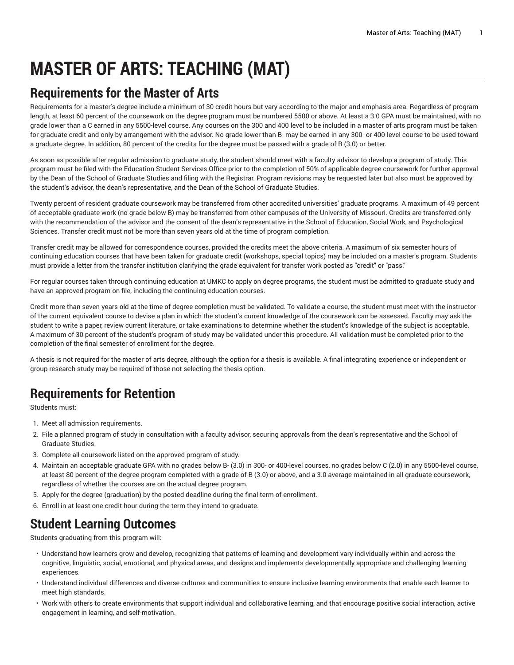# **MASTER OF ARTS: TEACHING (MAT)**

## **Requirements for the Master of Arts**

Requirements for a master's degree include a minimum of 30 credit hours but vary according to the major and emphasis area. Regardless of program length, at least 60 percent of the coursework on the degree program must be numbered 5500 or above. At least a 3.0 GPA must be maintained, with no grade lower than a C earned in any 5500-level course. Any courses on the 300 and 400 level to be included in a master of arts program must be taken for graduate credit and only by arrangement with the advisor. No grade lower than B- may be earned in any 300- or 400-level course to be used toward a graduate degree. In addition, 80 percent of the credits for the degree must be passed with a grade of B (3.0) or better.

As soon as possible after regular admission to graduate study, the student should meet with a faculty advisor to develop a program of study. This program must be filed with the Education Student Services Office prior to the completion of 50% of applicable degree coursework for further approval by the Dean of the School of Graduate Studies and filing with the Registrar. Program revisions may be requested later but also must be approved by the student's advisor, the dean's representative, and the Dean of the School of Graduate Studies.

Twenty percent of resident graduate coursework may be transferred from other accredited universities' graduate programs. A maximum of 49 percent of acceptable graduate work (no grade below B) may be transferred from other campuses of the University of Missouri. Credits are transferred only with the recommendation of the advisor and the consent of the dean's representative in the School of Education, Social Work, and Psychological Sciences. Transfer credit must not be more than seven years old at the time of program completion.

Transfer credit may be allowed for correspondence courses, provided the credits meet the above criteria. A maximum of six semester hours of continuing education courses that have been taken for graduate credit (workshops, special topics) may be included on a master's program. Students must provide a letter from the transfer institution clarifying the grade equivalent for transfer work posted as "credit" or "pass."

For regular courses taken through continuing education at UMKC to apply on degree programs, the student must be admitted to graduate study and have an approved program on file, including the continuing education courses.

Credit more than seven years old at the time of degree completion must be validated. To validate a course, the student must meet with the instructor of the current equivalent course to devise a plan in which the student's current knowledge of the coursework can be assessed. Faculty may ask the student to write a paper, review current literature, or take examinations to determine whether the student's knowledge of the subject is acceptable. A maximum of 30 percent of the student's program of study may be validated under this procedure. All validation must be completed prior to the completion of the final semester of enrollment for the degree.

A thesis is not required for the master of arts degree, although the option for a thesis is available. A final integrating experience or independent or group research study may be required of those not selecting the thesis option.

# **Requirements for Retention**

Students must:

- 1. Meet all admission requirements.
- 2. File a planned program of study in consultation with a faculty advisor, securing approvals from the dean's representative and the School of Graduate Studies.
- 3. Complete all coursework listed on the approved program of study.
- 4. Maintain an acceptable graduate GPA with no grades below B- (3.0) in 300- or 400-level courses, no grades below C (2.0) in any 5500-level course, at least 80 percent of the degree program completed with a grade of B (3.0) or above, and a 3.0 average maintained in all graduate coursework, regardless of whether the courses are on the actual degree program.
- 5. Apply for the degree (graduation) by the posted deadline during the final term of enrollment.
- 6. Enroll in at least one credit hour during the term they intend to graduate.

# **Student Learning Outcomes**

Students graduating from this program will:

- Understand how learners grow and develop, recognizing that patterns of learning and development vary individually within and across the cognitive, linguistic, social, emotional, and physical areas, and designs and implements developmentally appropriate and challenging learning experiences.
- Understand individual differences and diverse cultures and communities to ensure inclusive learning environments that enable each learner to meet high standards.
- Work with others to create environments that support individual and collaborative learning, and that encourage positive social interaction, active engagement in learning, and self-motivation.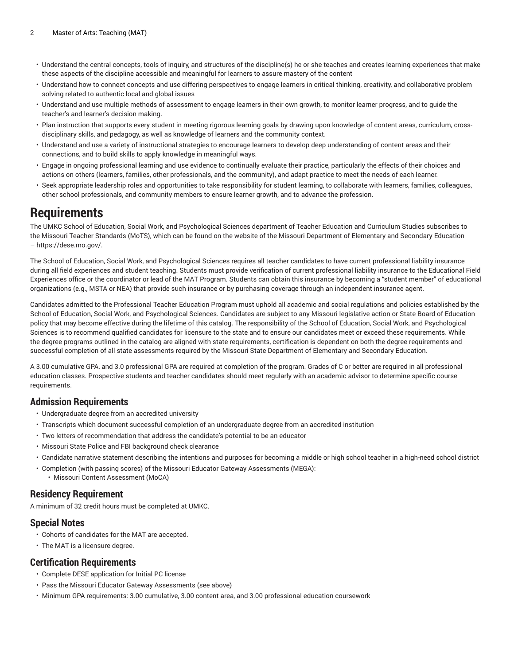- Understand the central concepts, tools of inquiry, and structures of the discipline(s) he or she teaches and creates learning experiences that make these aspects of the discipline accessible and meaningful for learners to assure mastery of the content
- Understand how to connect concepts and use differing perspectives to engage learners in critical thinking, creativity, and collaborative problem solving related to authentic local and global issues
- Understand and use multiple methods of assessment to engage learners in their own growth, to monitor learner progress, and to guide the teacher's and learner's decision making.
- Plan instruction that supports every student in meeting rigorous learning goals by drawing upon knowledge of content areas, curriculum, crossdisciplinary skills, and pedagogy, as well as knowledge of learners and the community context.
- Understand and use a variety of instructional strategies to encourage learners to develop deep understanding of content areas and their connections, and to build skills to apply knowledge in meaningful ways.
- Engage in ongoing professional learning and use evidence to continually evaluate their practice, particularly the effects of their choices and actions on others (learners, families, other professionals, and the community), and adapt practice to meet the needs of each learner.
- Seek appropriate leadership roles and opportunities to take responsibility for student learning, to collaborate with learners, families, colleagues, other school professionals, and community members to ensure learner growth, and to advance the profession.

### **Requirements**

The UMKC School of Education, Social Work, and Psychological Sciences department of Teacher Education and Curriculum Studies subscribes to the Missouri Teacher Standards (MoTS), which can be found on the website of the Missouri Department of Elementary and Secondary Education – <https://dese.mo.gov/>.

The School of Education, Social Work, and Psychological Sciences requires all teacher candidates to have current professional liability insurance during all field experiences and student teaching. Students must provide verification of current professional liability insurance to the Educational Field Experiences office or the coordinator or lead of the MAT Program. Students can obtain this insurance by becoming a "student member" of educational organizations (e.g., MSTA or NEA) that provide such insurance or by purchasing coverage through an independent insurance agent.

Candidates admitted to the Professional Teacher Education Program must uphold all academic and social regulations and policies established by the School of Education, Social Work, and Psychological Sciences. Candidates are subject to any Missouri legislative action or State Board of Education policy that may become effective during the lifetime of this catalog. The responsibility of the School of Education, Social Work, and Psychological Sciences is to recommend qualified candidates for licensure to the state and to ensure our candidates meet or exceed these requirements. While the degree programs outlined in the catalog are aligned with state requirements, certification is dependent on both the degree requirements and successful completion of all state assessments required by the Missouri State Department of Elementary and Secondary Education.

A 3.00 cumulative GPA, and 3.0 professional GPA are required at completion of the program. Grades of C or better are required in all professional education classes. Prospective students and teacher candidates should meet regularly with an academic advisor to determine specific course requirements.

#### **Admission Requirements**

- Undergraduate degree from an accredited university
- Transcripts which document successful completion of an undergraduate degree from an accredited institution
- Two letters of recommendation that address the candidate's potential to be an educator
- Missouri State Police and FBI background check clearance
- Candidate narrative statement describing the intentions and purposes for becoming a middle or high school teacher in a high-need school district
- Completion (with passing scores) of the Missouri Educator Gateway Assessments (MEGA): • Missouri Content Assessment (MoCA)

#### **Residency Requirement**

A minimum of 32 credit hours must be completed at UMKC.

#### **Special Notes**

- Cohorts of candidates for the MAT are accepted.
- The MAT is a licensure degree.

#### **Certification Requirements**

- Complete DESE application for Initial PC license
- Pass the Missouri Educator Gateway Assessments (see above)
- Minimum GPA requirements: 3.00 cumulative, 3.00 content area, and 3.00 professional education coursework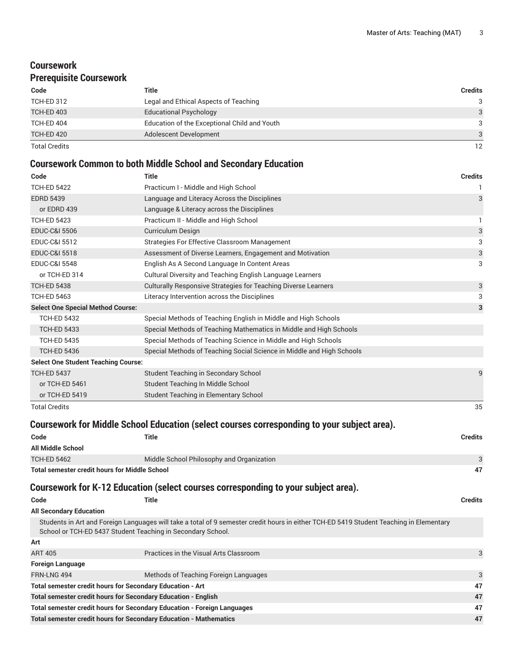### **Coursework Prerequisite Coursework**

| Code                 | Title                                        | <b>Credits</b>  |
|----------------------|----------------------------------------------|-----------------|
| <b>TCH-ED 312</b>    | Legal and Ethical Aspects of Teaching        | 3               |
| <b>TCH-ED 403</b>    | <b>Educational Psychology</b>                | $\mathbf{3}$    |
| TCH-ED 404           | Education of the Exceptional Child and Youth | 3               |
| TCH-ED 420           | Adolescent Development                       | 3               |
| <b>Total Credits</b> |                                              | 12 <sup>°</sup> |

### **Coursework Common to both Middle School and Secondary Education**

| Code                                                        | <b>Title</b>                                                                                                                            | <b>Credits</b>            |
|-------------------------------------------------------------|-----------------------------------------------------------------------------------------------------------------------------------------|---------------------------|
| <b>TCH-ED 5422</b>                                          | Practicum I - Middle and High School                                                                                                    | 1                         |
| <b>EDRD 5439</b>                                            | Language and Literacy Across the Disciplines                                                                                            | 3                         |
| or EDRD 439                                                 | Language & Literacy across the Disciplines                                                                                              |                           |
| <b>TCH-ED 5423</b>                                          | Practicum II - Middle and High School                                                                                                   | 1                         |
| <b>EDUC-C&amp;I 5506</b>                                    | Curriculum Design                                                                                                                       | $\ensuremath{\mathsf{3}}$ |
| <b>EDUC-C&amp;I 5512</b>                                    | Strategies For Effective Classroom Management                                                                                           | 3                         |
| <b>EDUC-C&amp;I 5518</b>                                    | Assessment of Diverse Learners, Engagement and Motivation                                                                               | 3                         |
| <b>EDUC-C&amp;I 5548</b>                                    | English As A Second Language In Content Areas                                                                                           | 3                         |
| or TCH-ED 314                                               | Cultural Diversity and Teaching English Language Learners                                                                               |                           |
| <b>TCH-ED 5438</b>                                          | Culturally Responsive Strategies for Teaching Diverse Learners                                                                          | $\ensuremath{\mathsf{3}}$ |
| <b>TCH-ED 5463</b>                                          | Literacy Intervention across the Disciplines                                                                                            | 3                         |
| <b>Select One Special Method Course:</b>                    |                                                                                                                                         | 3                         |
| <b>TCH-ED 5432</b>                                          | Special Methods of Teaching English in Middle and High Schools                                                                          |                           |
| <b>TCH-ED 5433</b>                                          | Special Methods of Teaching Mathematics in Middle and High Schools                                                                      |                           |
| <b>TCH-ED 5435</b>                                          | Special Methods of Teaching Science in Middle and High Schools                                                                          |                           |
| <b>TCH-ED 5436</b>                                          | Special Methods of Teaching Social Science in Middle and High Schools                                                                   |                           |
| <b>Select One Student Teaching Course:</b>                  |                                                                                                                                         |                           |
| <b>TCH-ED 5437</b>                                          | Student Teaching in Secondary School                                                                                                    | 9                         |
| or TCH-ED 5461                                              | Student Teaching In Middle School                                                                                                       |                           |
| or TCH-ED 5419                                              | Student Teaching in Elementary School                                                                                                   |                           |
| <b>Total Credits</b>                                        |                                                                                                                                         | 35                        |
|                                                             | Coursework for Middle School Education (select courses corresponding to your subject area).                                             |                           |
| Code                                                        | <b>Title</b>                                                                                                                            | <b>Credits</b>            |
| <b>All Middle School</b>                                    |                                                                                                                                         |                           |
| <b>TCH-ED 5462</b>                                          | Middle School Philosophy and Organization                                                                                               | 3                         |
| <b>Total semester credit hours for Middle School</b>        |                                                                                                                                         | 47                        |
|                                                             | Coursework for K-12 Education (select courses corresponding to your subject area).                                                      |                           |
| Code                                                        | <b>Title</b>                                                                                                                            | <b>Credits</b>            |
| <b>All Secondary Education</b>                              |                                                                                                                                         |                           |
| School or TCH-ED 5437 Student Teaching in Secondary School. | Students in Art and Foreign Languages will take a total of 9 semester credit hours in either TCH-ED 5419 Student Teaching in Elementary |                           |
| Art                                                         |                                                                                                                                         |                           |

| <b>ART 405</b>                                                           | Practices in the Visual Arts Classroom | 3            |
|--------------------------------------------------------------------------|----------------------------------------|--------------|
| <b>Foreign Language</b>                                                  |                                        |              |
| FRN-LNG 494                                                              | Methods of Teaching Foreign Languages  | $\mathbf{3}$ |
| Total semester credit hours for Secondary Education - Art                |                                        | 47           |
| <b>Total semester credit hours for Secondary Education - English</b>     |                                        | 47           |
| Total semester credit hours for Secondary Education - Foreign Languages  |                                        | 47           |
| <b>Total semester credit hours for Secondary Education - Mathematics</b> |                                        | 47           |